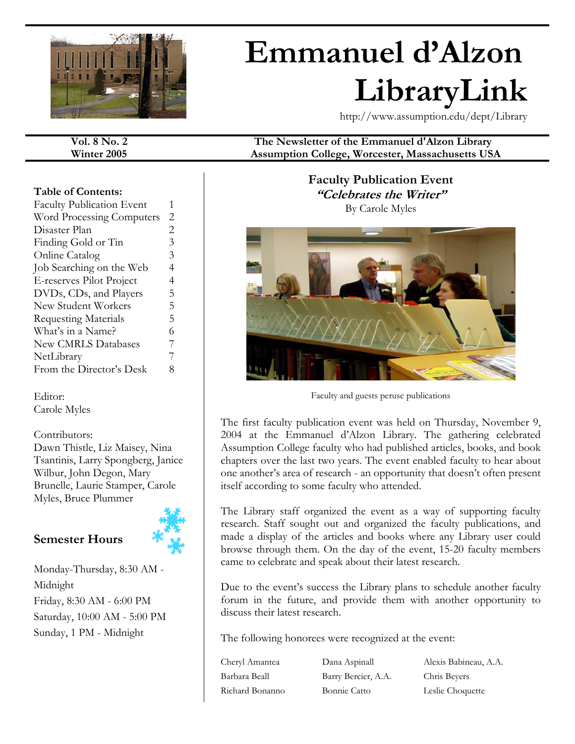

# **Emmanuel d'Alzon LibraryLink**

http://www.assumption.edu/dept/Library

**Vol. 8 No. 2 The Newsletter of the Emmanuel d'Alzon Library** 

#### **Table of Contents:**

| <b>Faculty Publication Event</b> | 1              |
|----------------------------------|----------------|
| <b>Word Processing Computers</b> | $\overline{2}$ |
| Disaster Plan                    | 2              |
| Finding Gold or Tin              | 3              |
| <b>Online Catalog</b>            | 3              |
| Job Searching on the Web         | 4              |
| E-reserves Pilot Project         | 4              |
| DVDs, CDs, and Players           | 5              |
| New Student Workers              | 5              |
| <b>Requesting Materials</b>      | 5              |
| What's in a Name?                | 6              |
| <b>New CMRLS Databases</b>       | 7              |
| NetLibrary                       | 7              |
| From the Director's Desk         | 8              |

Editor: Carole Myles

### Contributors:

Dawn Thistle, Liz Maisey, Nina Tsantinis, Larry Spongberg, Janice Wilbur, John Degon, Mary Brunelle, Laurie Stamper, Carole Myles, Bruce Plummer

### **Semester Hours**



Monday-Thursday, 8:30 AM - Midnight Friday, 8:30 AM - 6:00 PM Saturday, 10:00 AM - 5:00 PM Sunday, 1 PM - Midnight

**Winter 2005 Assumption College, Worcester, Massachusetts USA** 

**Faculty Publication Event "Celebrates the Writer"**  By Carole Myles



Faculty and guests peruse publications

The first faculty publication event was held on Thursday, November 9, 2004 at the Emmanuel d'Alzon Library. The gathering celebrated Assumption College faculty who had published articles, books, and book chapters over the last two years. The event enabled faculty to hear about one another's area of research - an opportunity that doesn't often present itself according to some faculty who attended.

The Library staff organized the event as a way of supporting faculty research. Staff sought out and organized the faculty publications, and made a display of the articles and books where any Library user could browse through them. On the day of the event, 15-20 faculty members came to celebrate and speak about their latest research.

Due to the event's success the Library plans to schedule another faculty forum in the future, and provide them with another opportunity to discuss their latest research.

The following honorees were recognized at the event:

Barbara Beall Barry Bercier, A.A. Chris Beyers Richard Bonanno Bonnie Catto Leslie Choquette

Cheryl Amantea Dana Aspinall Alexis Babineau, A.A.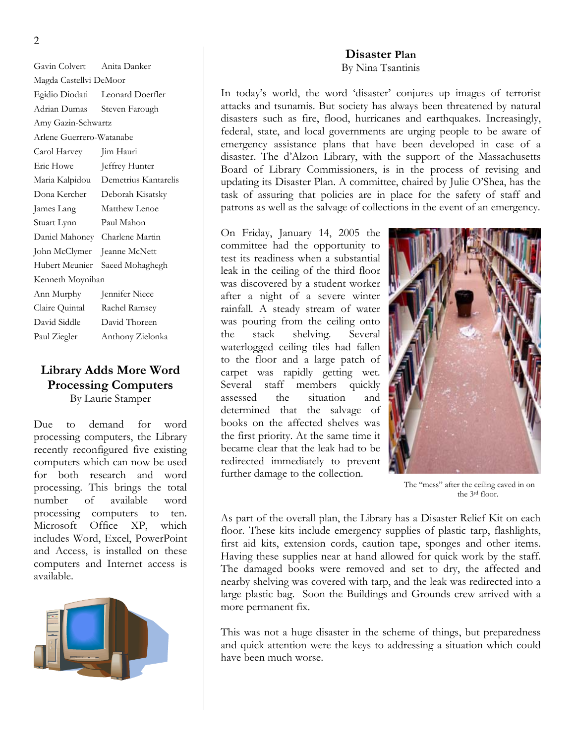Gavin Colvert Anita Danker Magda Castellvi DeMoor Egidio Diodati Leonard Doerfler Adrian Dumas Steven Farough Amy Gazin-Schwartz Arlene Guerrero-Watanabe Carol Harvey Jim Hauri Eric Howe Jeffrey Hunter Maria Kalpidou Demetrius Kantarelis Dona Kercher Deborah Kisatsky James Lang Matthew Lenoe Stuart Lynn Paul Mahon Daniel Mahoney Charlene Martin John McClymer Jeanne McNett Hubert Meunier Saeed Mohaghegh Kenneth Moynihan Ann Murphy Jennifer Niece Claire Quintal Rachel Ramsey David Siddle David Thoreen Paul Ziegler Anthony Zielonka

### **Library Adds More Word Processing Computers**  By Laurie Stamper

Due to demand for word processing computers, the Library recently reconfigured five existing computers which can now be used for both research and word processing. This brings the total number of available word processing computers to ten. Microsoft Office XP, which includes Word, Excel, PowerPoint and Access, is installed on these computers and Internet access is available.



### **Disaster Plan** By Nina Tsantinis

In today's world, the word 'disaster' conjures up images of terrorist attacks and tsunamis. But society has always been threatened by natural disasters such as fire, flood, hurricanes and earthquakes. Increasingly, federal, state, and local governments are urging people to be aware of emergency assistance plans that have been developed in case of a disaster. The d'Alzon Library, with the support of the Massachusetts Board of Library Commissioners, is in the process of revising and updating its Disaster Plan. A committee, chaired by Julie O'Shea, has the task of assuring that policies are in place for the safety of staff and patrons as well as the salvage of collections in the event of an emergency.

On Friday, January 14, 2005 the committee had the opportunity to test its readiness when a substantial leak in the ceiling of the third floor was discovered by a student worker after a night of a severe winter rainfall. A steady stream of water was pouring from the ceiling onto the stack shelving. Several waterlogged ceiling tiles had fallen to the floor and a large patch of carpet was rapidly getting wet. Several staff members quickly assessed the situation and determined that the salvage of books on the affected shelves was the first priority. At the same time it became clear that the leak had to be redirected immediately to prevent further damage to the collection.<br>The "mess" after the ceiling caved in on



the 3rd floor.

As part of the overall plan, the Library has a Disaster Relief Kit on each floor. These kits include emergency supplies of plastic tarp, flashlights, first aid kits, extension cords, caution tape, sponges and other items. Having these supplies near at hand allowed for quick work by the staff. The damaged books were removed and set to dry, the affected and nearby shelving was covered with tarp, and the leak was redirected into a large plastic bag. Soon the Buildings and Grounds crew arrived with a more permanent fix.

This was not a huge disaster in the scheme of things, but preparedness and quick attention were the keys to addressing a situation which could have been much worse.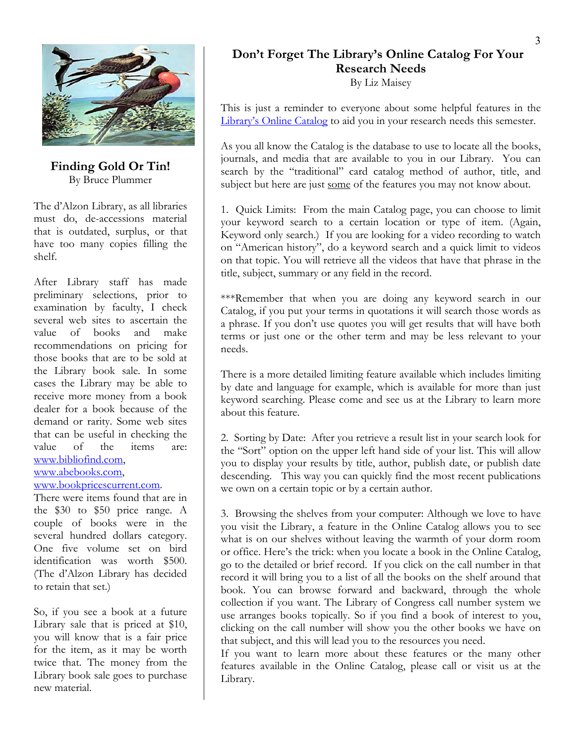

**Finding Gold Or Tin!**  By Bruce Plummer

The d'Alzon Library, as all libraries must do, de-accessions material that is outdated, surplus, or that have too many copies filling the shelf.

After Library staff has made preliminary selections, prior to examination by faculty, I check several web sites to ascertain the value of books and make recommendations on pricing for those books that are to be sold at the Library book sale. In some cases the Library may be able to receive more money from a book dealer for a book because of the demand or rarity. Some web sites that can be useful in checking the value of the items are: [www.bibliofind.com,](http://www.bibliofind.com/)

### [www.abebooks.com,](http://www.abebooks.com/)

### [www.bookpricescurrent.com](http://www.bookpricescurrent.com/).

There were items found that are in the \$30 to \$50 price range. A couple of books were in the several hundred dollars category. One five volume set on bird identification was worth \$500. (The d'Alzon Library has decided to retain that set.)

So, if you see a book at a future Library sale that is priced at \$10, you will know that is a fair price for the item, as it may be worth twice that. The money from the Library book sale goes to purchase new material.

### **Don't Forget The Library's Online Catalog For Your Research Needs**

By Liz Maisey

This is just a reminder to everyone about some helpful features in the [Library's Online Catalog](http://sun2.assumption.edu/cgi-bin/Pwebrecon.cgi?DB=local&PAGE=First) to aid you in your research needs this semester.

As you all know the Catalog is the database to use to locate all the books, journals, and media that are available to you in our Library. You can search by the "traditional" card catalog method of author, title, and subject but here are just some of the features you may not know about.

1. Quick Limits: From the main Catalog page, you can choose to limit your keyword search to a certain location or type of item. (Again, Keyword only search.) If you are looking for a video recording to watch on "American history", do a keyword search and a quick limit to videos on that topic. You will retrieve all the videos that have that phrase in the title, subject, summary or any field in the record.

\*\*\*Remember that when you are doing any keyword search in our Catalog, if you put your terms in quotations it will search those words as a phrase. If you don't use quotes you will get results that will have both terms or just one or the other term and may be less relevant to your needs.

There is a more detailed limiting feature available which includes limiting by date and language for example, which is available for more than just keyword searching. Please come and see us at the Library to learn more about this feature.

2. Sorting by Date: After you retrieve a result list in your search look for the "Sort" option on the upper left hand side of your list. This will allow you to display your results by title, author, publish date, or publish date descending. This way you can quickly find the most recent publications we own on a certain topic or by a certain author.

3. Browsing the shelves from your computer: Although we love to have you visit the Library, a feature in the Online Catalog allows you to see what is on our shelves without leaving the warmth of your dorm room or office. Here's the trick: when you locate a book in the Online Catalog, go to the detailed or brief record. If you click on the call number in that record it will bring you to a list of all the books on the shelf around that book. You can browse forward and backward, through the whole collection if you want. The Library of Congress call number system we use arranges books topically. So if you find a book of interest to you, clicking on the call number will show you the other books we have on that subject, and this will lead you to the resources you need.

If you want to learn more about these features or the many other features available in the Online Catalog, please call or visit us at the Library.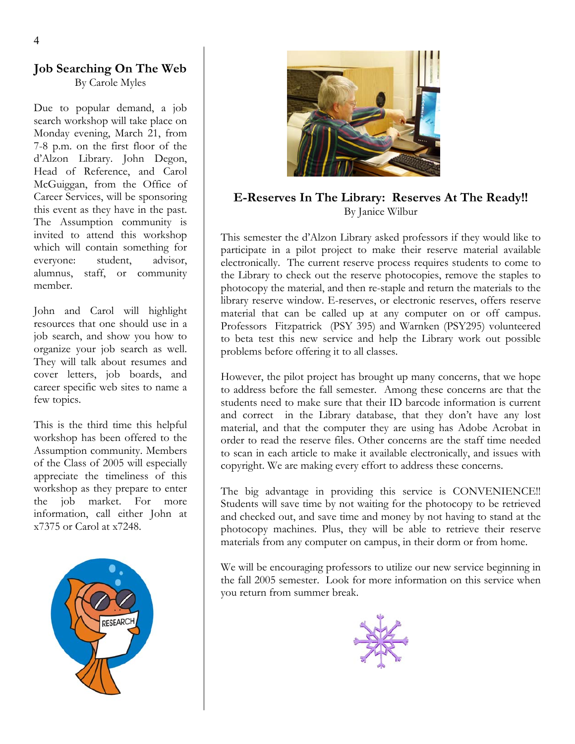### **Job Searching On The Web** By Carole Myles

Due to popular demand, a job search workshop will take place on Monday evening, March 21, from 7-8 p.m. on the first floor of the d'Alzon Library. John Degon, Head of Reference, and Carol McGuiggan, from the Office of Career Services, will be sponsoring this event as they have in the past. The Assumption community is invited to attend this workshop which will contain something for everyone: student, advisor, alumnus, staff, or community member.

John and Carol will highlight resources that one should use in a job search, and show you how to organize your job search as well. They will talk about resumes and cover letters, job boards, and career specific web sites to name a few topics.

This is the third time this helpful workshop has been offered to the Assumption community. Members of the Class of 2005 will especially appreciate the timeliness of this workshop as they prepare to enter the job market. For more information, call either John at x7375 or Carol at x7248.





**E-Reserves In The Library: Reserves At The Ready!!**  By Janice Wilbur

This semester the d'Alzon Library asked professors if they would like to participate in a pilot project to make their reserve material available electronically. The current reserve process requires students to come to the Library to check out the reserve photocopies, remove the staples to photocopy the material, and then re-staple and return the materials to the library reserve window. E-reserves, or electronic reserves, offers reserve material that can be called up at any computer on or off campus. Professors Fitzpatrick (PSY 395) and Warnken (PSY295) volunteered to beta test this new service and help the Library work out possible problems before offering it to all classes.

However, the pilot project has brought up many concerns, that we hope to address before the fall semester. Among these concerns are that the students need to make sure that their ID barcode information is current and correct in the Library database, that they don't have any lost material, and that the computer they are using has Adobe Acrobat in order to read the reserve files. Other concerns are the staff time needed to scan in each article to make it available electronically, and issues with copyright. We are making every effort to address these concerns.

The big advantage in providing this service is CONVENIENCE!! Students will save time by not waiting for the photocopy to be retrieved and checked out, and save time and money by not having to stand at the photocopy machines. Plus, they will be able to retrieve their reserve materials from any computer on campus, in their dorm or from home.

We will be encouraging professors to utilize our new service beginning in the fall 2005 semester. Look for more information on this service when you return from summer break.

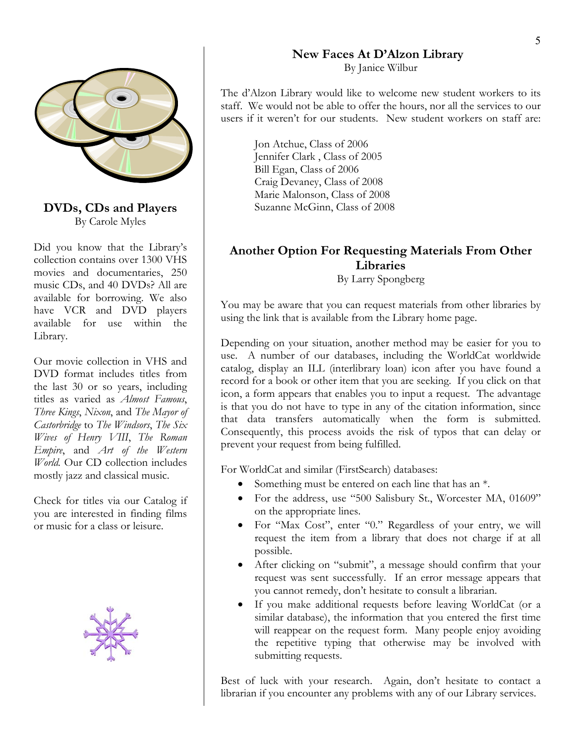

## By Carole Myles

Did you know that the Library's collection contains over 1300 VHS movies and documentaries, 250 music CDs, and 40 DVDs? All are available for borrowing. We also have VCR and DVD players available for use within the Library.

Our movie collection in VHS and DVD format includes titles from the last 30 or so years, including titles as varied as *Almost Famous*, *Three Kings*, *Nixon*, and *The Mayor of Castorbridge* to *The Windsors*, *The Six Wives of Henry VIII*, *The Roman Empire*, and *Art of the Western World.* Our CD collection includes mostly jazz and classical music. For WorldCat and similar (FirstSearch) databases:

Check for titles via our Catalog if you are interested in finding films



### **New Faces At D'Alzon Library**

By Janice Wilbur

The d'Alzon Library would like to welcome new student workers to its staff. We would not be able to offer the hours, nor all the services to our users if it weren't for our students. New student workers on staff are:

Jon Atchue, Class of 2006 Jennifer Clark , Class of 2005 Bill Egan, Class of 2006 Craig Devaney, Class of 2008 Marie Malonson, Class of 2008 **DVDs, CDs and Players** Suzanne McGinn, Class of 2008

### **Another Option For Requesting Materials From Other Libraries**

By Larry Spongberg

You may be aware that you can request materials from other libraries by using the link that is available from the Library home page.

Depending on your situation, another method may be easier for you to use. A number of our databases, including the WorldCat worldwide catalog, display an ILL (interlibrary loan) icon after you have found a record for a book or other item that you are seeking. If you click on that icon, a form appears that enables you to input a request. The advantage is that you do not have to type in any of the citation information, since that data transfers automatically when the form is submitted. Consequently, this process avoids the risk of typos that can delay or prevent your request from being fulfilled.

- Something must be entered on each line that has an  $*$ .
- For the address, use "500 Salisbury St., Worcester MA, 01609" on the appropriate lines.
- or music for a class or leisure. For "Max Cost", enter "0." Regardless of your entry, we will request the item from a library that does not charge if at all possible.
	- After clicking on "submit", a message should confirm that your request was sent successfully. If an error message appears that you cannot remedy, don't hesitate to consult a librarian.
	- If you make additional requests before leaving WorldCat (or a similar database), the information that you entered the first time will reappear on the request form. Many people enjoy avoiding the repetitive typing that otherwise may be involved with submitting requests.

Best of luck with your research. Again, don't hesitate to contact a librarian if you encounter any problems with any of our Library services.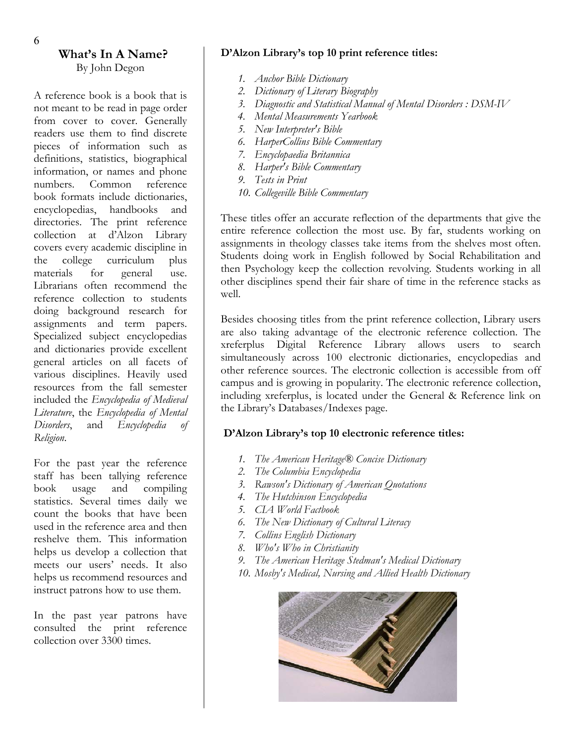### **What's In A Name?**  By John Degon

A reference book is a book that is not meant to be read in page order from cover to cover. Generally readers use them to find discrete pieces of information such as definitions, statistics, biographical information, or names and phone numbers. Common reference book formats include dictionaries, encyclopedias, handbooks and directories. The print reference collection at d'Alzon Library covers every academic discipline in the college curriculum plus materials for general use. Librarians often recommend the reference collection to students doing background research for assignments and term papers. Specialized subject encyclopedias and dictionaries provide excellent general articles on all facets of various disciplines. Heavily used resources from the fall semester included the *Encyclopedia of Medieval Literature*, the *Encyclopedia of Mental Disorders*, and *Encyclopedia of Religion*.

staff has been tallying reference book usage and compiling statistics. Several times daily we count the books that have been used in the reference area and then reshelve them. This information helps us develop a collection that meets our users' needs. It also helps us recommend resources and instruct patrons how to use them.

In the past year patrons have consulted the print reference collection over 3300 times.

### **D'Alzon Library's top 10 print reference titles:**

- *1. Anchor Bible Dictionary*
- *2. Dictionary of Literary Biography*
- *3. Diagnostic and Statistical Manual of Mental Disorders : DSM-IV*
- *4. Mental Measurements Yearbook*
- *5. New Interpreter's Bible*
- *6. HarperCollins Bible Commentary*
- *7. Encyclopaedia Britannica*
- *8. Harper's Bible Commentary*
- *9. Tests in Print*
- *10. Collegeville Bible Commentary*

These titles offer an accurate reflection of the departments that give the entire reference collection the most use. By far, students working on assignments in theology classes take items from the shelves most often. Students doing work in English followed by Social Rehabilitation and then Psychology keep the collection revolving. Students working in all other disciplines spend their fair share of time in the reference stacks as well.

Besides choosing titles from the print reference collection, Library users are also taking advantage of the electronic reference collection. The xreferplus Digital Reference Library allows users to search simultaneously across 100 electronic dictionaries, encyclopedias and other reference sources. The electronic collection is accessible from off campus and is growing in popularity. The electronic reference collection, including xreferplus, is located under the General & Reference link on the Library's Databases/Indexes page.

### **D'Alzon Library's top 10 electronic reference titles:**

- For the past year the reference 1. The American Heritage® Concise Dictionary
	- *2. The Columbia Encyclopedia*
	- *3. Rawson's Dictionary of American Quotations*
	- *4. The Hutchinson Encyclopedia*
	- *5. CIA World Factbook*
	- *6. The New Dictionary of Cultural Literacy*
	- *7. Collins English Dictionary*
	- *8. Who's Who in Christianity*
	- *9. The American Heritage Stedman's Medical Dictionary*
	- *10. Mosby's Medical, Nursing and Allied Health Dictionary*

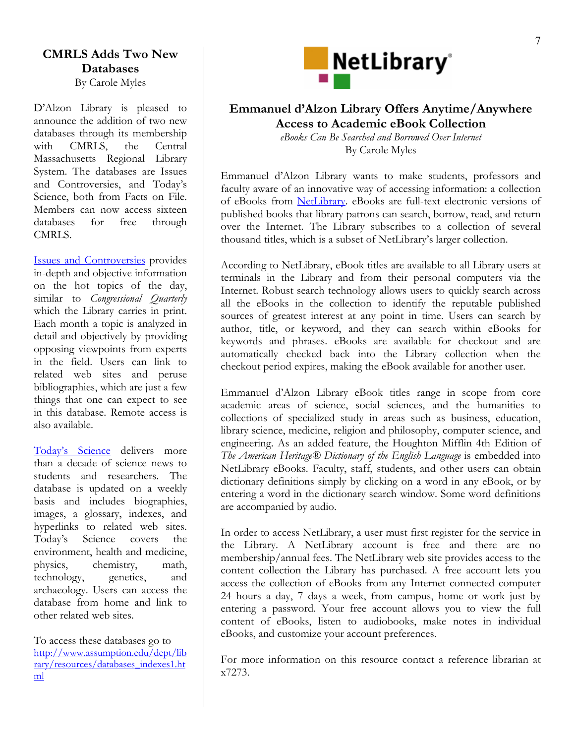### **CMRLS Adds Two New Databases**

By Carole Myles

D'Alzon Library is pleased to announce the addition of two new databases through its membership with CMRLS, the Central Massachusetts Regional Library System. The databases are Issues and Controversies, and Today's Science, both from Facts on File. Members can now access sixteen databases for free through CMRL<sub>S</sub>.

[Issues and Controversies](http://library.assumption.edu:2048/login?url=http://www.2facts.com/Formslogin.asp?db=icof) provides in-depth and objective information on the hot topics of the day, similar to *Congressional Quarterly* which the Library carries in print. Each month a topic is analyzed in detail and objectively by providing opposing viewpoints from experts in the field. Users can link to related web sites and peruse bibliographies, which are just a few things that one can expect to see in this database. Remote access is also available.

[Today's Science](http://library.assumption.edu:2048/login?url=http://www.2facts.com/Formslogin.asp?db=tsof) delivers more than a decade of science news to students and researchers. The database is updated on a weekly basis and includes biographies, images, a glossary, indexes, and hyperlinks to related web sites. Today's Science covers the environment, health and medicine, physics, chemistry, math, technology, genetics, and archaeology. Users can access the database from home and link to other related web sites.

[http://www.assumption.edu/dept/lib](http://www.assumption.edu/dept/library/resources/databases_indexes1.html) [rary/resources/databases\\_indexes1.ht](http://www.assumption.edu/dept/library/resources/databases_indexes1.html) [ml](http://www.assumption.edu/dept/library/resources/databases_indexes1.html)



### **Emmanuel d'Alzon Library Offers Anytime/Anywhere Access to Academic eBook Collection**

*eBooks Can Be Searched and Borrowed Over Internet*  By Carole Myles

Emmanuel d'Alzon Library wants to make students, professors and faculty aware of an innovative way of accessing information: a collection of eBooks from [NetLibrary.](http://library.assumption.edu:2048/login?url=http://www.netlibrary.com) eBooks are full-text electronic versions of published books that library patrons can search, borrow, read, and return over the Internet. The Library subscribes to a collection of several thousand titles, which is a subset of NetLibrary's larger collection.

According to NetLibrary, eBook titles are available to all Library users at terminals in the Library and from their personal computers via the Internet. Robust search technology allows users to quickly search across all the eBooks in the collection to identify the reputable published sources of greatest interest at any point in time. Users can search by author, title, or keyword, and they can search within eBooks for keywords and phrases. eBooks are available for checkout and are automatically checked back into the Library collection when the checkout period expires, making the eBook available for another user.

Emmanuel d'Alzon Library eBook titles range in scope from core academic areas of science, social sciences, and the humanities to collections of specialized study in areas such as business, education, library science, medicine, religion and philosophy, computer science, and engineering. As an added feature, the Houghton Mifflin 4th Edition of *The American Heritage® Dictionary of the English Language* is embedded into NetLibrary eBooks. Faculty, staff, students, and other users can obtain dictionary definitions simply by clicking on a word in any eBook, or by entering a word in the dictionary search window. Some word definitions are accompanied by audio.

In order to access NetLibrary, a user must first register for the service in the Library. A NetLibrary account is free and there are no membership/annual fees. The NetLibrary web site provides access to the content collection the Library has purchased. A free account lets you access the collection of eBooks from any Internet connected computer 24 hours a day, 7 days a week, from campus, home or work just by entering a password. Your free account allows you to view the full content of eBooks, listen to audiobooks, make notes in individual eBooks, and customize your account preferences. To access these databases go to

> For more information on this resource contact a reference librarian at x7273.